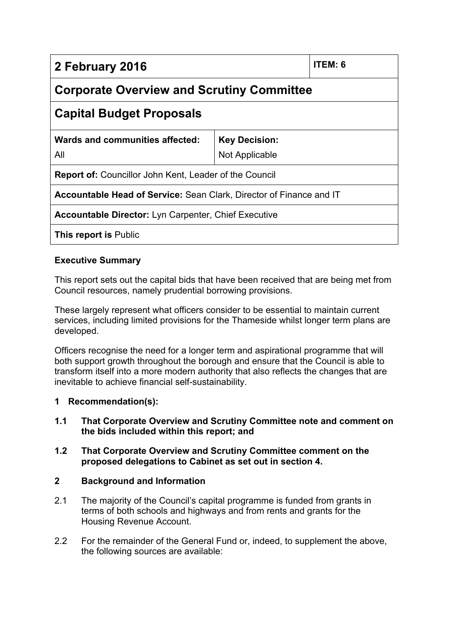| 2 February 2016                                                            |                      | ITEM: 6 |
|----------------------------------------------------------------------------|----------------------|---------|
| <b>Corporate Overview and Scrutiny Committee</b>                           |                      |         |
| <b>Capital Budget Proposals</b>                                            |                      |         |
| Wards and communities affected:                                            | <b>Key Decision:</b> |         |
| All                                                                        | Not Applicable       |         |
| <b>Report of:</b> Councillor John Kent, Leader of the Council              |                      |         |
| <b>Accountable Head of Service:</b> Sean Clark, Director of Finance and IT |                      |         |
| <b>Accountable Director:</b> Lyn Carpenter, Chief Executive                |                      |         |
| <b>This report is Public</b>                                               |                      |         |

# **Executive Summary**

This report sets out the capital bids that have been received that are being met from Council resources, namely prudential borrowing provisions.

These largely represent what officers consider to be essential to maintain current services, including limited provisions for the Thameside whilst longer term plans are developed.

Officers recognise the need for a longer term and aspirational programme that will both support growth throughout the borough and ensure that the Council is able to transform itself into a more modern authority that also reflects the changes that are inevitable to achieve financial self-sustainability.

### **1 Recommendation(s):**

- **1.1 That Corporate Overview and Scrutiny Committee note and comment on the bids included within this report; and**
- **1.2 That Corporate Overview and Scrutiny Committee comment on the proposed delegations to Cabinet as set out in section 4.**

## **2 Background and Information**

- 2.1 The majority of the Council's capital programme is funded from grants in terms of both schools and highways and from rents and grants for the Housing Revenue Account.
- 2.2 For the remainder of the General Fund or, indeed, to supplement the above, the following sources are available: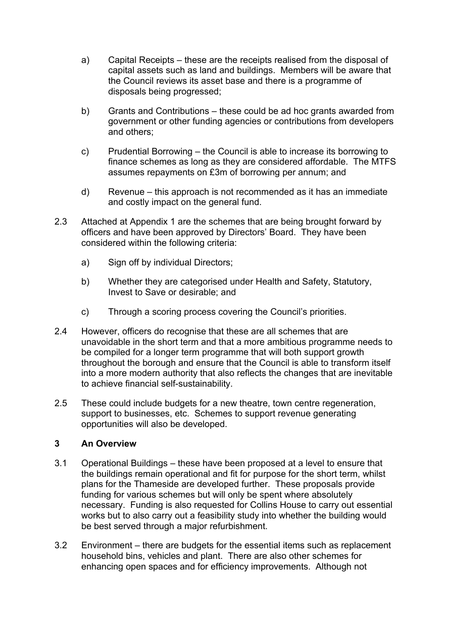- a) Capital Receipts these are the receipts realised from the disposal of capital assets such as land and buildings. Members will be aware that the Council reviews its asset base and there is a programme of disposals being progressed;
- b) Grants and Contributions these could be ad hoc grants awarded from government or other funding agencies or contributions from developers and others;
- c) Prudential Borrowing the Council is able to increase its borrowing to finance schemes as long as they are considered affordable. The MTFS assumes repayments on £3m of borrowing per annum; and
- d) Revenue this approach is not recommended as it has an immediate and costly impact on the general fund.
- 2.3 Attached at Appendix 1 are the schemes that are being brought forward by officers and have been approved by Directors' Board. They have been considered within the following criteria:
	- a) Sign off by individual Directors;
	- b) Whether they are categorised under Health and Safety, Statutory, Invest to Save or desirable; and
	- c) Through a scoring process covering the Council's priorities.
- 2.4 However, officers do recognise that these are all schemes that are unavoidable in the short term and that a more ambitious programme needs to be compiled for a longer term programme that will both support growth throughout the borough and ensure that the Council is able to transform itself into a more modern authority that also reflects the changes that are inevitable to achieve financial self-sustainability.
- 2.5 These could include budgets for a new theatre, town centre regeneration, support to businesses, etc. Schemes to support revenue generating opportunities will also be developed.

# **3 An Overview**

- 3.1 Operational Buildings these have been proposed at a level to ensure that the buildings remain operational and fit for purpose for the short term, whilst plans for the Thameside are developed further. These proposals provide funding for various schemes but will only be spent where absolutely necessary. Funding is also requested for Collins House to carry out essential works but to also carry out a feasibility study into whether the building would be best served through a major refurbishment.
- 3.2 Environment there are budgets for the essential items such as replacement household bins, vehicles and plant. There are also other schemes for enhancing open spaces and for efficiency improvements. Although not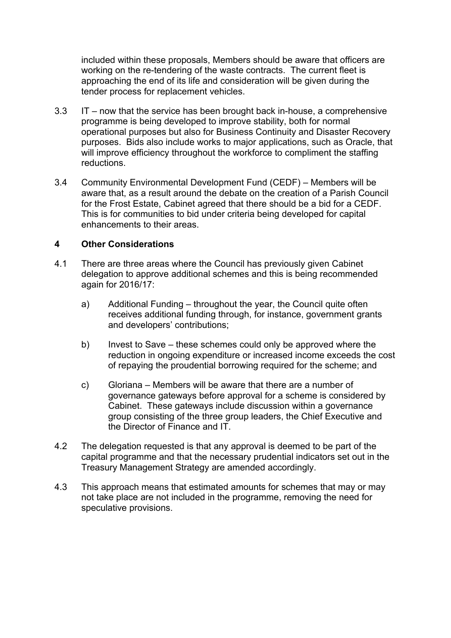included within these proposals, Members should be aware that officers are working on the re-tendering of the waste contracts. The current fleet is approaching the end of its life and consideration will be given during the tender process for replacement vehicles.

- 3.3 IT now that the service has been brought back in-house, a comprehensive programme is being developed to improve stability, both for normal operational purposes but also for Business Continuity and Disaster Recovery purposes. Bids also include works to major applications, such as Oracle, that will improve efficiency throughout the workforce to compliment the staffing reductions.
- 3.4 Community Environmental Development Fund (CEDF) Members will be aware that, as a result around the debate on the creation of a Parish Council for the Frost Estate, Cabinet agreed that there should be a bid for a CEDF. This is for communities to bid under criteria being developed for capital enhancements to their areas.

### **4 Other Considerations**

- 4.1 There are three areas where the Council has previously given Cabinet delegation to approve additional schemes and this is being recommended again for 2016/17:
	- a) Additional Funding throughout the year, the Council quite often receives additional funding through, for instance, government grants and developers' contributions;
	- b) Invest to Save these schemes could only be approved where the reduction in ongoing expenditure or increased income exceeds the cost of repaying the proudential borrowing required for the scheme; and
	- c) Gloriana Members will be aware that there are a number of governance gateways before approval for a scheme is considered by Cabinet. These gateways include discussion within a governance group consisting of the three group leaders, the Chief Executive and the Director of Finance and IT.
- 4.2 The delegation requested is that any approval is deemed to be part of the capital programme and that the necessary prudential indicators set out in the Treasury Management Strategy are amended accordingly.
- 4.3 This approach means that estimated amounts for schemes that may or may not take place are not included in the programme, removing the need for speculative provisions.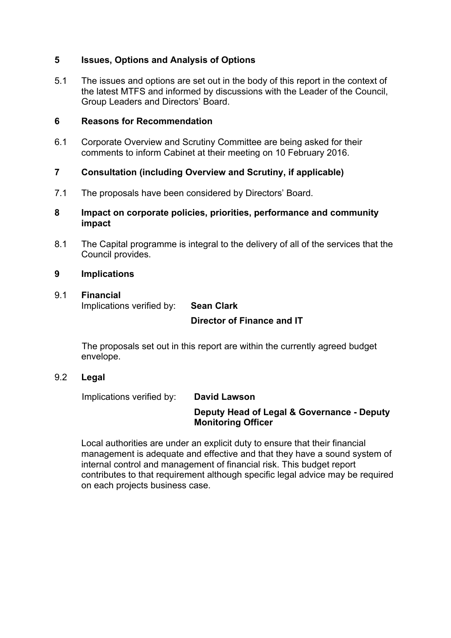# **5 Issues, Options and Analysis of Options**

5.1 The issues and options are set out in the body of this report in the context of the latest MTFS and informed by discussions with the Leader of the Council, Group Leaders and Directors' Board.

### **6 Reasons for Recommendation**

6.1 Corporate Overview and Scrutiny Committee are being asked for their comments to inform Cabinet at their meeting on 10 February 2016.

## **7 Consultation (including Overview and Scrutiny, if applicable)**

- 7.1 The proposals have been considered by Directors' Board.
- **8 Impact on corporate policies, priorities, performance and community impact**
- 8.1 The Capital programme is integral to the delivery of all of the services that the Council provides.

### **9 Implications**

## 9.1 **Financial**

Implications verified by: **Sean Clark**

## **Director of Finance and IT**

The proposals set out in this report are within the currently agreed budget envelope.

9.2 **Legal**

Implications verified by: **David Lawson**

### **Deputy Head of Legal & Governance - Deputy Monitoring Officer**

Local authorities are under an explicit duty to ensure that their financial management is adequate and effective and that they have a sound system of internal control and management of financial risk. This budget report contributes to that requirement although specific legal advice may be required on each projects business case.